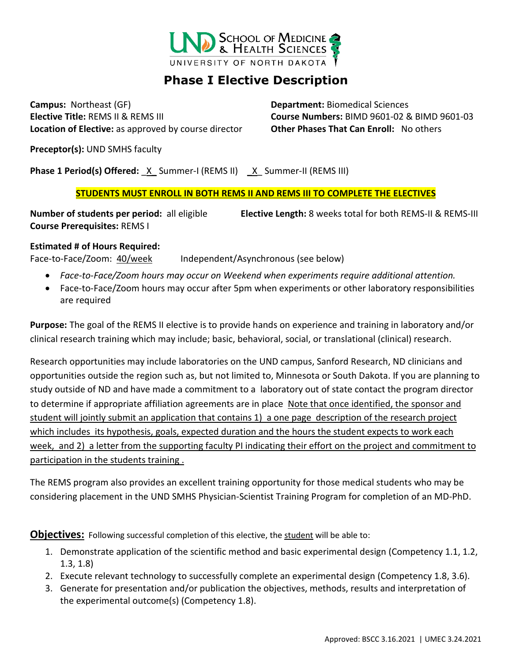

# **Phase I Elective Description**

**Campus:** Northeast (GF) **Department:** Biomedical Sciences **Elective Title:** REMS II & REMS III **Course Numbers:** BIMD 9601-02 & BIMD 9601-03 **Location of Elective:** as approved by course director **Other Phases That Can Enroll:** No others

**Preceptor(s):** UND SMHS faculty

**Phase 1 Period(s) Offered:** X Summer-I (REMS II) X Summer-II (REMS III)

### **STUDENTS MUST ENROLL IN BOTH REMS II AND REMS III TO COMPLETE THE ELECTIVES**

**Number of students per period:** all eligible **Elective Length:** 8 weeks total for both REMS-II & REMS-III **Course Prerequisites:** REMS I

### **Estimated # of Hours Required:**

Face-to-Face/Zoom:  $40$ /week Independent/Asynchronous (see below)

- *Face-to-Face/Zoom hours may occur on Weekend when experiments require additional attention.*
- Face-to-Face/Zoom hours may occur after 5pm when experiments or other laboratory responsibilities are required

**Purpose:** The goal of the REMS II elective is to provide hands on experience and training in laboratory and/or clinical research training which may include; basic, behavioral, social, or translational (clinical) research.

Research opportunities may include laboratories on the UND campus, Sanford Research, ND clinicians and opportunities outside the region such as, but not limited to, Minnesota or South Dakota. If you are planning to study outside of ND and have made a commitment to a laboratory out of state contact the program director to determine if appropriate affiliation agreements are in place Note that once identified, the sponsor and student will jointly submit an application that contains 1) a one page description of the research project which includes its hypothesis, goals, expected duration and the hours the student expects to work each week, and 2) a letter from the supporting faculty PI indicating their effort on the project and commitment to participation in the students training .

The REMS program also provides an excellent training opportunity for those medical students who may be considering placement in the UND SMHS Physician-Scientist Training Program for completion of an MD-PhD.

**Objectives:** Following successful completion of this elective, the student will be able to:

- 1. Demonstrate application of the scientific method and basic experimental design (Competency 1.1, 1.2, 1.3, 1.8)
- 2. Execute relevant technology to successfully complete an experimental design (Competency 1.8, 3.6).
- 3. Generate for presentation and/or publication the objectives, methods, results and interpretation of the experimental outcome(s) (Competency 1.8).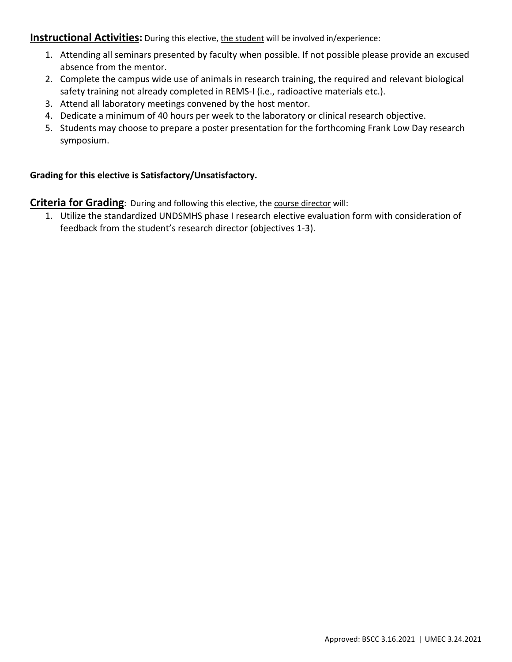**Instructional Activities:** During this elective, the student will be involved in/experience:

- 1. Attending all seminars presented by faculty when possible. If not possible please provide an excused absence from the mentor.
- 2. Complete the campus wide use of animals in research training, the required and relevant biological safety training not already completed in REMS-I (i.e., radioactive materials etc.).
- 3. Attend all laboratory meetings convened by the host mentor.
- 4. Dedicate a minimum of 40 hours per week to the laboratory or clinical research objective.
- 5. Students may choose to prepare a poster presentation for the forthcoming Frank Low Day research symposium.

## **Grading for this elective is Satisfactory/Unsatisfactory.**

**Criteria for Grading**: During and following this elective, the course director will:

1. Utilize the standardized UNDSMHS phase I research elective evaluation form with consideration of feedback from the student's research director (objectives 1-3).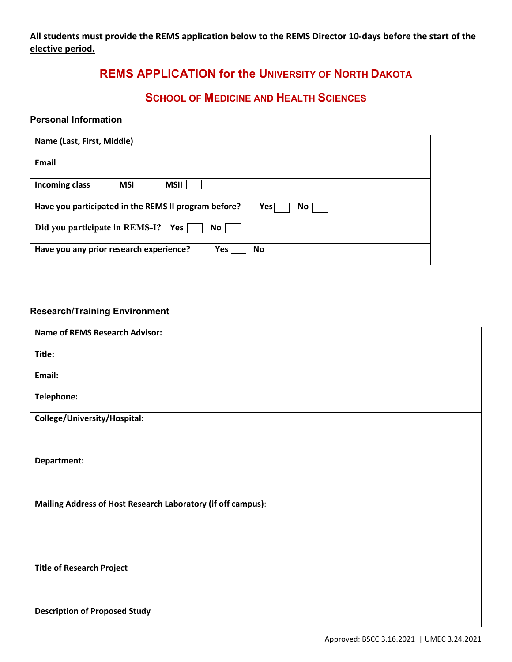## **All students must provide the REMS application below to the REMS Director 10-days before the start of the elective period.**

## **REMS APPLICATION for the UNIVERSITY OF NORTH DAKOTA**

## **SCHOOL OF MEDICINE AND HEALTH SCIENCES**

### **Personal Information**

| Name (Last, First, Middle)                                         |
|--------------------------------------------------------------------|
| <b>Email</b>                                                       |
| <b>MSI</b><br><b>MSII</b><br>Incoming class                        |
| Have you participated in the REMS II program before?<br>Yes <br>No |
| Did you participate in REMS-I? Yes<br>No <sub>1</sub>              |
| Have you any prior research experience?<br>Yes<br><b>No</b>        |

## **Research/Training Environment**

| <b>Name of REMS Research Advisor:</b>                        |
|--------------------------------------------------------------|
| Title:                                                       |
| Email:                                                       |
| Telephone:                                                   |
| College/University/Hospital:                                 |
|                                                              |
| Department:                                                  |
|                                                              |
| Mailing Address of Host Research Laboratory (if off campus): |
|                                                              |
|                                                              |
| <b>Title of Research Project</b>                             |
|                                                              |
|                                                              |
| <b>Description of Proposed Study</b>                         |